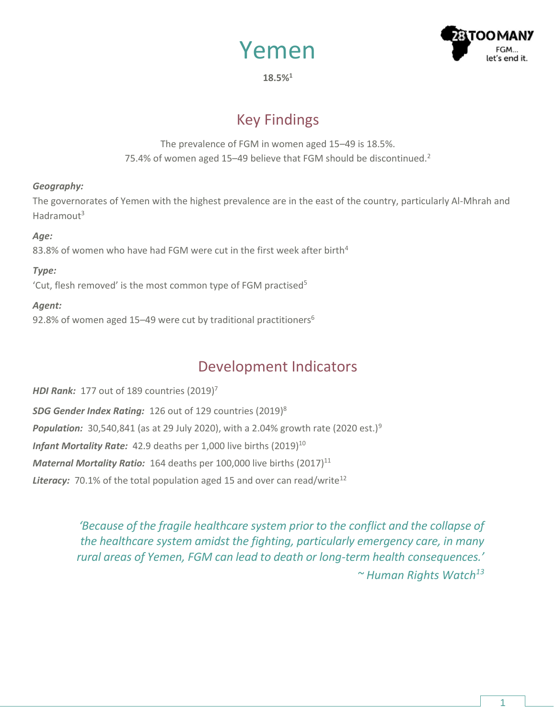



**18.5%<sup>1</sup>**

# Key Findings

The prevalence of FGM in women aged 15–49 is 18.5%. 75.4% of women aged 15–49 believe that FGM should be discontinued.<sup>2</sup>

### *Geography:*

The governorates of Yemen with the highest prevalence are in the east of the country, particularly Al-Mhrah and Hadramout<sup>3</sup>

#### *Age:*

83.8% of women who have had FGM were cut in the first week after birth<sup>4</sup>

### *Type:*

'Cut, flesh removed' is the most common type of FGM practised<sup>5</sup>

### *Agent:*

92.8% of women aged 15–49 were cut by traditional practitioners<sup>6</sup>

## Development Indicators

*HDI Rank:* 177 out of 189 countries (2019) 7 *SDG Gender Index Rating:* 126 out of 129 countries (2019)<sup>8</sup> **Population:** 30,540,841 (as at 29 July 2020), with a 2.04% growth rate (2020 est.)<sup>9</sup> *Infant Mortality Rate:* 42.9 deaths per 1,000 live births (2019) 10 Maternal Mortality Ratio: 164 deaths per 100,000 live births (2017)<sup>11</sup> **Literacy:** 70.1% of the total population aged 15 and over can read/write<sup>12</sup>

> *'Because of the fragile healthcare system prior to the conflict and the collapse of the healthcare system amidst the fighting, particularly emergency care, in many rural areas of Yemen, FGM can lead to death or long-term health consequences.' ~ Human Rights Watch13*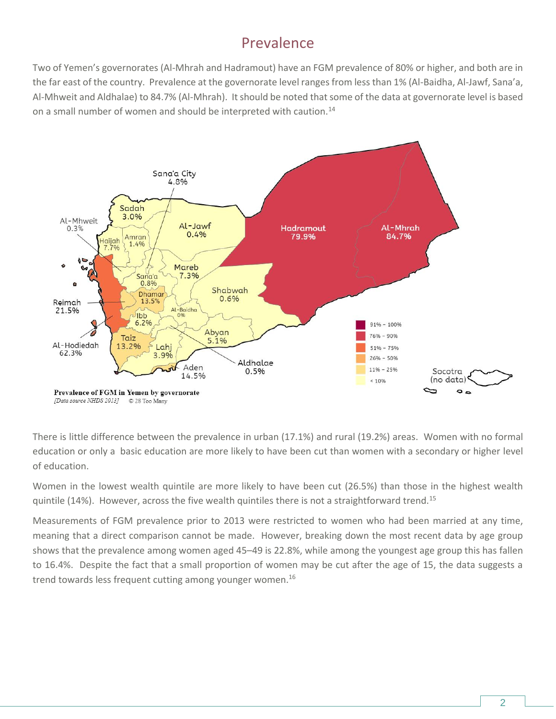## Prevalence

Two of Yemen's governorates (Al-Mhrah and Hadramout) have an FGM prevalence of 80% or higher, and both are in the far east of the country. Prevalence at the governorate level ranges from less than 1% (Al-Baidha, Al-Jawf, Sana'a, Al-Mhweit and Aldhalae) to 84.7% (Al-Mhrah). It should be noted that some of the data at governorate level is based on a small number of women and should be interpreted with caution.<sup>14</sup>



There is little difference between the prevalence in urban (17.1%) and rural (19.2%) areas. Women with no formal education or only a basic education are more likely to have been cut than women with a secondary or higher level of education.

Women in the lowest wealth quintile are more likely to have been cut (26.5%) than those in the highest wealth quintile (14%). However, across the five wealth quintiles there is not a straightforward trend.<sup>15</sup>

Measurements of FGM prevalence prior to 2013 were restricted to women who had been married at any time, meaning that a direct comparison cannot be made. However, breaking down the most recent data by age group shows that the prevalence among women aged 45–49 is 22.8%, while among the youngest age group this has fallen to 16.4%. Despite the fact that a small proportion of women may be cut after the age of 15, the data suggests a trend towards less frequent cutting among younger women.<sup>16</sup>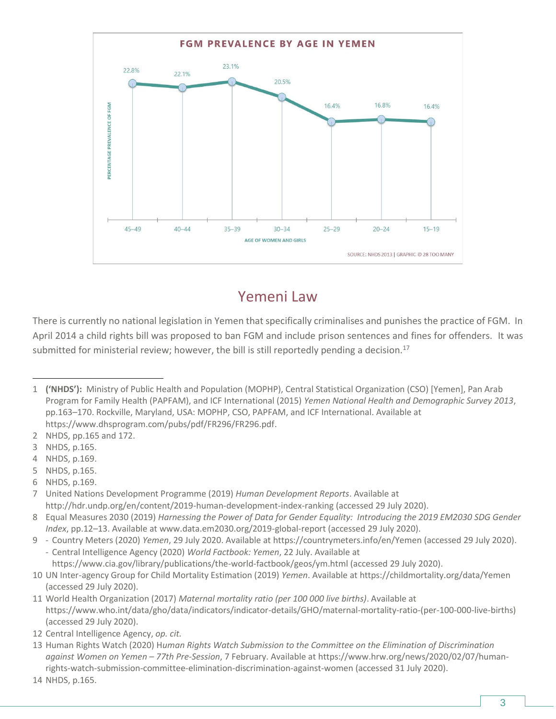

## Yemeni Law

There is currently no national legislation in Yemen that specifically criminalises and punishes the practice of FGM. In April 2014 a child rights bill was proposed to ban FGM and include prison sentences and fines for offenders. It was submitted for ministerial review; however, the bill is still reportedly pending a decision.<sup>17</sup>

- 2 NHDS, pp.165 and 172.
- 3 NHDS, p.165.
- 4 NHDS, p.169.
- 5 NHDS, p.165.
- 6 NHDS, p.169.

7 United Nations Development Programme (2019) *Human Development Reports*. Available at <http://hdr.undp.org/en/content/2019-human-development-index-ranking> (accessed 29 July 2020).

- 8 Equal Measures 2030 (2019) *Harnessing the Power of Data for Gender Equality: Introducing the 2019 EM2030 SDG Gender Index*, pp.12–13. Available a[t www.data.em2030.org/2019-global-report](http://www.data.em2030.org/2019-global-report) (accessed 29 July 2020).
- 9 Country Meters (2020) *Yemen*, 29 July 2020. Available a[t https://countrymeters.info/en/Yemen](https://countrymeters.info/en/Yemen) (accessed 29 July 2020). - Central Intelligence Agency (2020) *World Factbook: Yemen*, 22 July. Available at

<https://www.cia.gov/library/publications/the-world-factbook/geos/ym.html> (accessed 29 July 2020).

- 10 UN Inter-agency Group for Child Mortality Estimation (2019) *Yemen*. Available at<https://childmortality.org/data/Yemen> (accessed 29 July 2020).
- 11 World Health Organization (2017) *Maternal mortality ratio (per 100 000 live births)*. Available at [https://www.who.int/data/gho/data/indicators/indicator-details/GHO/maternal-mortality-ratio-\(per-100-000-live-births\)](https://www.who.int/data/gho/data/indicators/indicator-details/GHO/maternal-mortality-ratio-(per-100-000-live-births)) (accessed 29 July 2020).

13 Human Rights Watch (2020) H*uman Rights Watch Submission to the Committee on the Elimination of Discrimination against Women on Yemen – 77th Pre-Session*, 7 February. Available at https://www.hrw.org/news/2020/02/07/humanrights-watch-submission-committee-elimination-discrimination-against-women (accessed 31 July 2020).

<sup>1</sup> **('NHDS'):** Ministry of Public Health and Population (MOPHP), Central Statistical Organization (CSO) [Yemen], Pan Arab Program for Family Health (PAPFAM), and ICF International (2015) *Yemen National Health and Demographic Survey 2013*, pp.163–170. Rockville, Maryland, USA: MOPHP, CSO, PAPFAM, and ICF International. Available at [https://www.dhsprogram.com/pubs/pdf/FR296/FR296.pdf.](https://www.dhsprogram.com/pubs/pdf/FR296/FR296.pdf)

<sup>12</sup> Central Intelligence Agency, *op. cit.*

<sup>14</sup> NHDS, p.165.